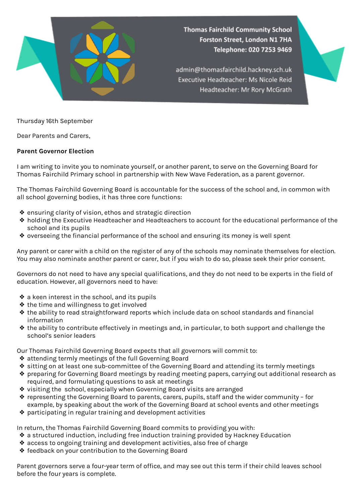

**Thomas Fairchild Community School** Forston Street, London N1 7HA Telephone: 020 7253 9469

admin@thomasfairchild.hackney.sch.uk Executive Headteacher: Ms Nicole Reid Headteacher: Mr Rory McGrath

Thursday 16th September

Dear Parents and Carers,

## **Parent Governor Election**

I am writing to invite you to nominate yourself, or another parent, to serve on the Governing Board for Thomas Fairchild Primary school in partnership with New Wave Federation, as a parent governor.

The Thomas Fairchild Governing Board is accountable for the success of the school and, in common with all school governing bodies, it has three core functions:

- ❖ ensuring clarity of vision, ethos and strategic direction
- ❖ holding the Executive Headteacher and Headteachers to account for the educational performance of the school and its pupils
- ❖ overseeing the financial performance of the school and ensuring its money is well spent

Any parent or carer with a child on the register of any of the schools may nominate themselves for election. You may also nominate another parent or carer, but if you wish to do so, please seek their prior consent.

Governors do not need to have any special qualifications, and they do not need to be experts in the field of education. However, all governors need to have:

- ❖ a keen interest in the school, and its pupils
- ❖ the time and willingness to get involved
- ❖ the ability to read straightforward reports which include data on school standards and financial information
- ❖ the ability to contribute effectively in meetings and, in particular, to both support and challenge the school's senior leaders

Our Thomas Fairchild Governing Board expects that all governors will commit to:

- ❖ attending termly meetings of the full Governing Board
- ❖ sitting on at least one sub-committee of the Governing Board and attending its termly meetings
- ❖ preparing for Governing Board meetings by reading meeting papers, carrying out additional research as required, and formulating questions to ask at meetings
- ❖ visiting the school, especially when Governing Board visits are arranged
- ❖ representing the Governing Board to parents, carers, pupils, staff and the wider community for example, by speaking about the work of the Governing Board at school events and other meetings
- ❖ participating in regular training and development activities

In return, the Thomas Fairchild Governing Board commits to providing you with:

- ❖ a structured induction, including free induction training provided by Hackney Education
- ❖ access to ongoing training and development activities, also free of charge
- ❖ feedback on your contribution to the Governing Board

Parent governors serve a four-year term of office, and may see out this term if their child leaves school before the four years is complete.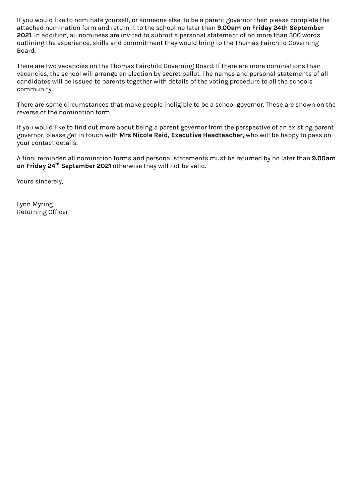If you would like to nominate yourself, or someone else, to be a parent governor then please complete the attached nomination form and return it to the school no later than **9.00am on Friday 24th September 2021**. In addition, all nominees are invited to submit a personal statement of no more than 300 words outlining the experience, skills and commitment they would bring to the Thomas Fairchild Governing Board.

There are two vacancies on the Thomas Fairchild Governing Board. If there are more nominations than vacancies, the school will arrange an election by secret ballot. The names and personal statements of all candidates will be issued to parents together with details of the voting procedure to all the schools community.

There are some circumstances that make people ineligible to be a school governor. These are shown on the reverse of the nomination form.

If you would like to find out more about being a parent governor from the perspective of an existing parent governor, please get in touch with **Mrs Nicole Reid, Executive Headteacher,** who will be happy to pass on your contact details.

A final reminder: all nomination forms and personal statements must be returned by no later than **9.00am on Friday 24 th September 2021** otherwise they will not be valid.

Yours sincerely,

Lynn Myring Returning Officer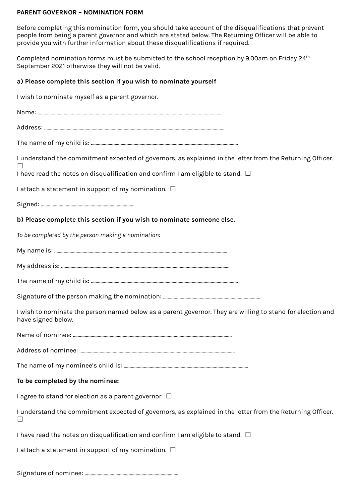## **PARENT GOVERNOR – NOMINATION FORM**

Before completing this nomination form, you should take account of the disqualifications that prevent people from being a parent governor and which are stated below. The Returning Officer will be able to provide you with further information about these disqualifications if required.

Completed nomination forms must be submitted to the school reception by 9.00am on Friday 24<sup>th</sup> September 2021 otherwise they will not be valid.

## **a) Please complete this section if you wish to nominate yourself**

I wish to nominate myself as a parent governor.

| I understand the commitment expected of governors, as explained in the letter from the Returning Officer.                        |
|----------------------------------------------------------------------------------------------------------------------------------|
| I have read the notes on disqualification and confirm I am eligible to stand. $\Box$                                             |
| I attach a statement in support of my nomination. $\Box$                                                                         |
|                                                                                                                                  |
| b) Please complete this section if you wish to nominate someone else.                                                            |
| To be completed by the person making a nomination:                                                                               |
|                                                                                                                                  |
|                                                                                                                                  |
|                                                                                                                                  |
|                                                                                                                                  |
| I wish to nominate the person named below as a parent governor. They are willing to stand for election and<br>have signed below. |
|                                                                                                                                  |
|                                                                                                                                  |
|                                                                                                                                  |
| To be completed by the nominee:                                                                                                  |
| I agree to stand for election as a parent governor. $\Box$                                                                       |
| I understand the commitment expected of governors, as explained in the letter from the Returning Officer.                        |
| I have read the notes on disqualification and confirm I am eligible to stand. $\Box$                                             |
| I attach a statement in support of my nomination. $\Box$                                                                         |
|                                                                                                                                  |